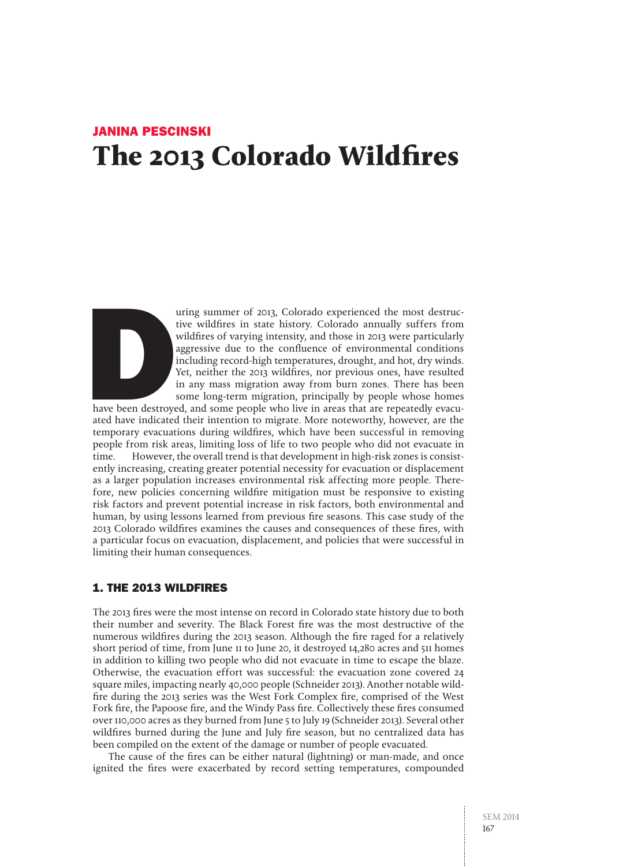# Janina Pescinski **The 2013 Colorado Wildfires**



The uring summer of 2013, Colorado experienced the most destructive wildfires in state history. Colorado annually suffers from wildfires of varying intensity, and those in 2013 were particularly aggressive due to the confl tive wildfires in state history. Colorado annually suffers from wildfires of varying intensity, and those in 2013 were particularly aggressive due to the confluence of environmental conditions including record-high temperatures, drought, and hot, dry winds. Yet, neither the 2013 wildfires, nor previous ones, have resulted in any mass migration away from burn zones. There has been some long-term migration, principally by people whose homes

have been destroyed, and some people who live in areas that are repeatedly evacuated have indicated their intention to migrate. More noteworthy, however, are the temporary evacuations during wildfires, which have been successful in removing people from risk areas, limiting loss of life to two people who did not evacuate in time. However, the overall trend is that development in high-risk zones is consistently increasing, creating greater potential necessity for evacuation or displacement as a larger population increases environmental risk affecting more people. Therefore, new policies concerning wildfire mitigation must be responsive to existing risk factors and prevent potential increase in risk factors, both environmental and human, by using lessons learned from previous fire seasons. This case study of the 2013 Colorado wildfires examines the causes and consequences of these fires, with a particular focus on evacuation, displacement, and policies that were successful in limiting their human consequences.

## 1. The 2013 Wildfires

The 2013 fires were the most intense on record in Colorado state history due to both their number and severity. The Black Forest fire was the most destructive of the numerous wildfires during the 2013 season. Although the fire raged for a relatively short period of time, from June 11 to June 20, it destroyed 14,280 acres and 511 homes in addition to killing two people who did not evacuate in time to escape the blaze. Otherwise, the evacuation effort was successful: the evacuation zone covered 24 square miles, impacting nearly 40,000 people (Schneider 2013). Another notable wildfire during the 2013 series was the West Fork Complex fire, comprised of the West Fork fire, the Papoose fire, and the Windy Pass fire. Collectively these fires consumed over 110,000 acres as they burned from June 5 to July 19 (Schneider 2013). Several other wildfires burned during the June and July fire season, but no centralized data has been compiled on the extent of the damage or number of people evacuated.

The cause of the fires can be either natural (lightning) or man-made, and once ignited the fires were exacerbated by record setting temperatures, compounded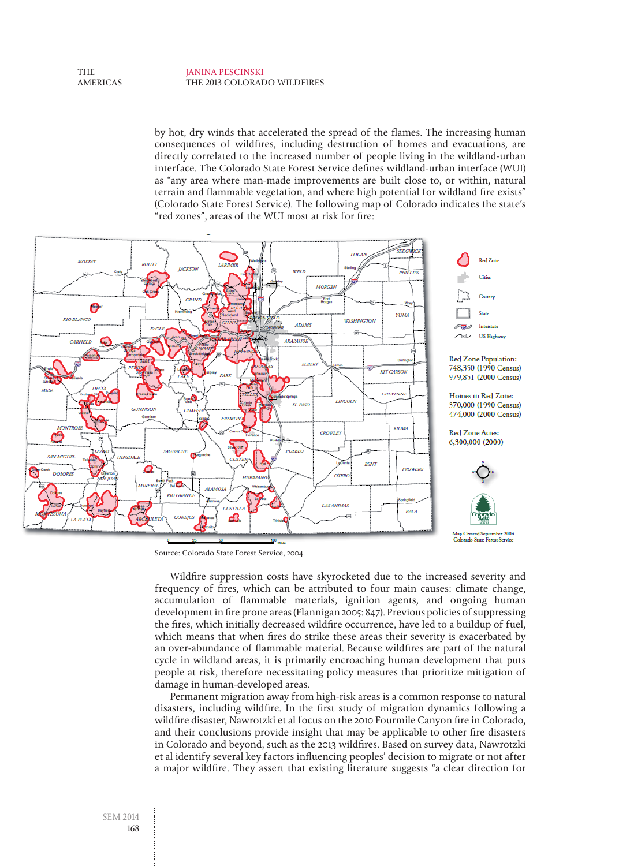#### Janina Pescinski The 2013 Colorado Wildfires

**THE** americas

> by hot, dry winds that accelerated the spread of the flames. The increasing human consequences of wildfires, including destruction of homes and evacuations, are directly correlated to the increased number of people living in the wildland-urban interface. The Colorado State Forest Service defines wildland-urban interface (WUI) as "any area where man-made improvements are built close to, or within, natural terrain and flammable vegetation, and where high potential for wildland fire exists" (Colorado State Forest Service). The following map of Colorado indicates the state's "red zones", areas of the WUI most at risk for fire:



Source: Colorado State Forest Service, 2004.

Wildfire suppression costs have skyrocketed due to the increased severity and frequency of fires, which can be attributed to four main causes: climate change, accumulation of flammable materials, ignition agents, and ongoing human development in fire prone areas (Flannigan 2005: 847). Previous policies of suppressing the fires, which initially decreased wildfire occurrence, have led to a buildup of fuel, which means that when fires do strike these areas their severity is exacerbated by an over-abundance of flammable material. Because wildfires are part of the natural cycle in wildland areas, it is primarily encroaching human development that puts people at risk, therefore necessitating policy measures that prioritize mitigation of damage in human-developed areas.

Permanent migration away from high-risk areas is a common response to natural disasters, including wildfire. In the first study of migration dynamics following a wildfire disaster, Nawrotzki et al focus on the 2010 Fourmile Canyon fire in Colorado, and their conclusions provide insight that may be applicable to other fire disasters in Colorado and beyond, such as the 2013 wildfires. Based on survey data, Nawrotzki et al identify several key factors influencing peoples' decision to migrate or not after a major wildfire. They assert that existing literature suggests "a clear direction for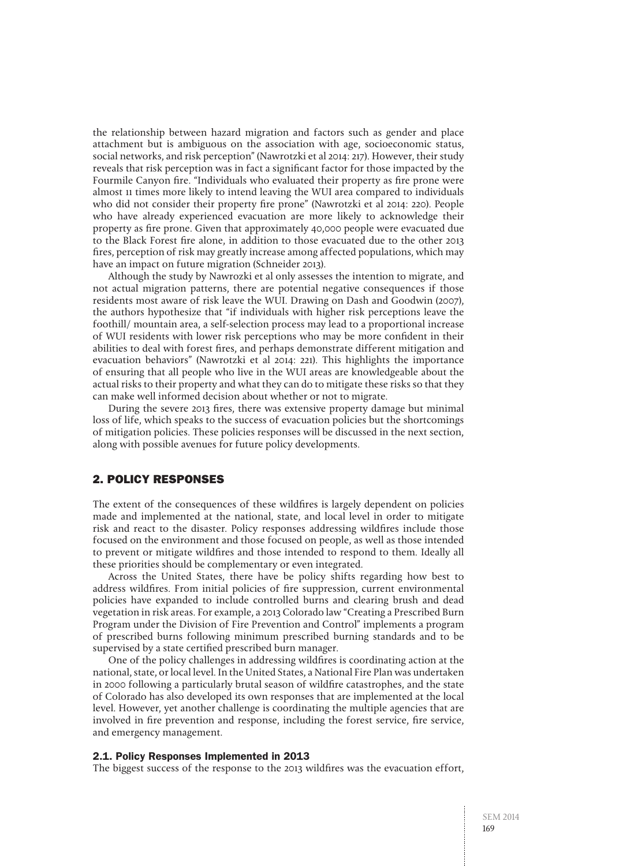the relationship between hazard migration and factors such as gender and place attachment but is ambiguous on the association with age, socioeconomic status, social networks, and risk perception" (Nawrotzki et al 2014: 217). However, their study reveals that risk perception was in fact a significant factor for those impacted by the Fourmile Canyon fire. "Individuals who evaluated their property as fire prone were almost 11 times more likely to intend leaving the WUI area compared to individuals who did not consider their property fire prone" (Nawrotzki et al 2014: 220). People who have already experienced evacuation are more likely to acknowledge their property as fire prone. Given that approximately 40,000 people were evacuated due to the Black Forest fire alone, in addition to those evacuated due to the other 2013 fires, perception of risk may greatly increase among affected populations, which may have an impact on future migration (Schneider 2013).

Although the study by Nawrozki et al only assesses the intention to migrate, and not actual migration patterns, there are potential negative consequences if those residents most aware of risk leave the WUI. Drawing on Dash and Goodwin (2007), the authors hypothesize that "if individuals with higher risk perceptions leave the foothill/ mountain area, a self-selection process may lead to a proportional increase of WUI residents with lower risk perceptions who may be more confident in their abilities to deal with forest fires, and perhaps demonstrate different mitigation and evacuation behaviors" (Nawrotzki et al 2014: 221). This highlights the importance of ensuring that all people who live in the WUI areas are knowledgeable about the actual risks to their property and what they can do to mitigate these risks so that they can make well informed decision about whether or not to migrate.

During the severe 2013 fires, there was extensive property damage but minimal loss of life, which speaks to the success of evacuation policies but the shortcomings of mitigation policies. These policies responses will be discussed in the next section, along with possible avenues for future policy developments.

# 2. Policy Responses

The extent of the consequences of these wildfires is largely dependent on policies made and implemented at the national, state, and local level in order to mitigate risk and react to the disaster. Policy responses addressing wildfires include those focused on the environment and those focused on people, as well as those intended to prevent or mitigate wildfires and those intended to respond to them. Ideally all these priorities should be complementary or even integrated.

Across the United States, there have be policy shifts regarding how best to address wildfires. From initial policies of fire suppression, current environmental policies have expanded to include controlled burns and clearing brush and dead vegetation in risk areas. For example, a 2013 Colorado law "Creating a Prescribed Burn Program under the Division of Fire Prevention and Control" implements a program of prescribed burns following minimum prescribed burning standards and to be supervised by a state certified prescribed burn manager.

One of the policy challenges in addressing wildfires is coordinating action at the national, state, or local level. In the United States, a National Fire Plan was undertaken in 2000 following a particularly brutal season of wildfire catastrophes, and the state of Colorado has also developed its own responses that are implemented at the local level. However, yet another challenge is coordinating the multiple agencies that are involved in fire prevention and response, including the forest service, fire service, and emergency management.

#### 2.1. Policy Responses Implemented in 2013

The biggest success of the response to the 2013 wildfires was the evacuation effort,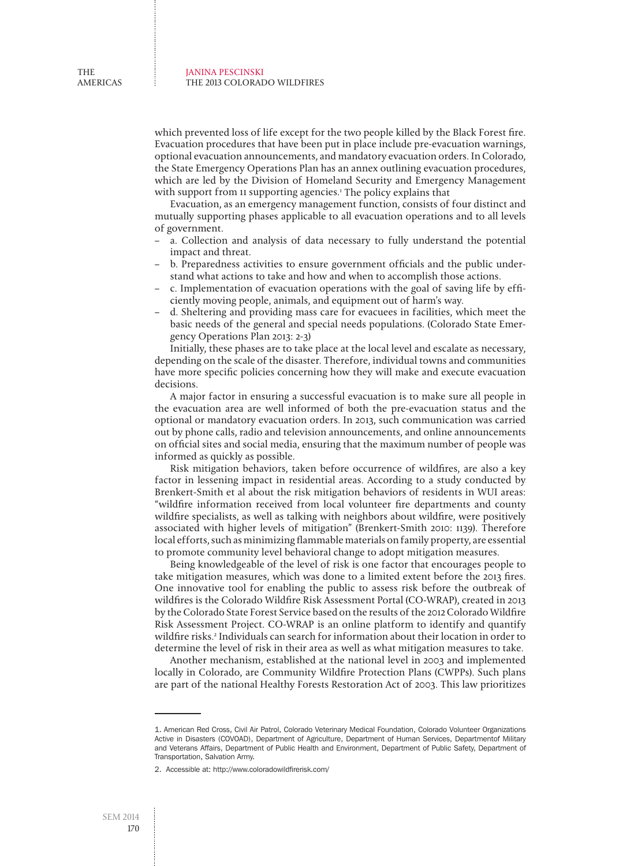which prevented loss of life except for the two people killed by the Black Forest fire. Evacuation procedures that have been put in place include pre-evacuation warnings, optional evacuation announcements, and mandatory evacuation orders. In Colorado, the State Emergency Operations Plan has an annex outlining evacuation procedures, which are led by the Division of Homeland Security and Emergency Management with support from 11 supporting agencies.<sup>1</sup> The policy explains that

Evacuation, as an emergency management function, consists of four distinct and mutually supporting phases applicable to all evacuation operations and to all levels of government.

- a. Collection and analysis of data necessary to fully understand the potential impact and threat.
- b. Preparedness activities to ensure government officials and the public understand what actions to take and how and when to accomplish those actions.
- c. Implementation of evacuation operations with the goal of saving life by efficiently moving people, animals, and equipment out of harm's way.
- d. Sheltering and providing mass care for evacuees in facilities, which meet the basic needs of the general and special needs populations. (Colorado State Emergency Operations Plan 2013: 2-3)

Initially, these phases are to take place at the local level and escalate as necessary, depending on the scale of the disaster. Therefore, individual towns and communities have more specific policies concerning how they will make and execute evacuation decisions.

A major factor in ensuring a successful evacuation is to make sure all people in the evacuation area are well informed of both the pre-evacuation status and the optional or mandatory evacuation orders. In 2013, such communication was carried out by phone calls, radio and television announcements, and online announcements on official sites and social media, ensuring that the maximum number of people was informed as quickly as possible.

Risk mitigation behaviors, taken before occurrence of wildfires, are also a key factor in lessening impact in residential areas. According to a study conducted by Brenkert-Smith et al about the risk mitigation behaviors of residents in WUI areas: "wildfire information received from local volunteer fire departments and county wildfire specialists, as well as talking with neighbors about wildfire, were positively associated with higher levels of mitigation" (Brenkert-Smith 2010: 1139). Therefore local efforts, such as minimizing flammable materials on family property, are essential to promote community level behavioral change to adopt mitigation measures.

Being knowledgeable of the level of risk is one factor that encourages people to take mitigation measures, which was done to a limited extent before the 2013 fires. One innovative tool for enabling the public to assess risk before the outbreak of wildfires is the Colorado Wildfire Risk Assessment Portal (CO-WRAP), created in 2013 by the Colorado State Forest Service based on the results of the 2012 Colorado Wildfire Risk Assessment Project. CO-WRAP is an online platform to identify and quantify wildfire risks.2 Individuals can search for information about their location in order to determine the level of risk in their area as well as what mitigation measures to take.

Another mechanism, established at the national level in 2003 and implemented locally in Colorado, are Community Wildfire Protection Plans (CWPPs). Such plans are part of the national Healthy Forests Restoration Act of 2003. This law prioritizes

<sup>1.</sup> American Red Cross, Civil Air Patrol, Colorado Veterinary Medical Foundation, Colorado Volunteer Organizations Active in Disasters (COVOAD), Department of Agriculture, Department of Human Services, Departmentof Military and Veterans Affairs, Department of Public Health and Environment, Department of Public Safety, Department of Transportation, Salvation Army.

<sup>2.</sup> Accessible at: http://www.coloradowildfirerisk.com/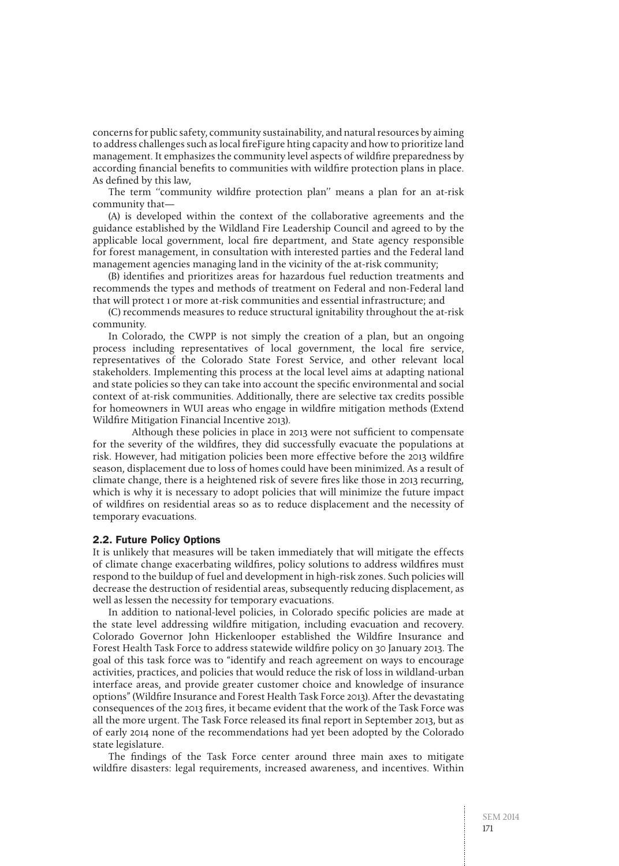concerns for public safety, community sustainability, and natural resources by aiming to address challenges such as local fireFigure hting capacity and how to prioritize land management. It emphasizes the community level aspects of wildfire preparedness by according financial benefits to communities with wildfire protection plans in place. As defined by this law,

The term "community wildfire protection plan" means a plan for an at-risk community that—

(A) is developed within the context of the collaborative agreements and the guidance established by the Wildland Fire Leadership Council and agreed to by the applicable local government, local fire department, and State agency responsible for forest management, in consultation with interested parties and the Federal land management agencies managing land in the vicinity of the at-risk community;

(B) identifies and prioritizes areas for hazardous fuel reduction treatments and recommends the types and methods of treatment on Federal and non-Federal land that will protect 1 or more at-risk communities and essential infrastructure; and

(C) recommends measures to reduce structural ignitability throughout the at-risk community.

In Colorado, the CWPP is not simply the creation of a plan, but an ongoing process including representatives of local government, the local fire service, representatives of the Colorado State Forest Service, and other relevant local stakeholders. Implementing this process at the local level aims at adapting national and state policies so they can take into account the specific environmental and social context of at-risk communities. Additionally, there are selective tax credits possible for homeowners in WUI areas who engage in wildfire mitigation methods (Extend Wildfire Mitigation Financial Incentive 2013).

Although these policies in place in 2013 were not sufficient to compensate for the severity of the wildfires, they did successfully evacuate the populations at risk. However, had mitigation policies been more effective before the 2013 wildfire season, displacement due to loss of homes could have been minimized. As a result of climate change, there is a heightened risk of severe fires like those in 2013 recurring, which is why it is necessary to adopt policies that will minimize the future impact of wildfires on residential areas so as to reduce displacement and the necessity of temporary evacuations.

#### 2.2. Future Policy Options

It is unlikely that measures will be taken immediately that will mitigate the effects of climate change exacerbating wildfires, policy solutions to address wildfires must respond to the buildup of fuel and development in high-risk zones. Such policies will decrease the destruction of residential areas, subsequently reducing displacement, as well as lessen the necessity for temporary evacuations.

In addition to national-level policies, in Colorado specific policies are made at the state level addressing wildfire mitigation, including evacuation and recovery. Colorado Governor John Hickenlooper established the Wildfire Insurance and Forest Health Task Force to address statewide wildfire policy on 30 January 2013. The goal of this task force was to "identify and reach agreement on ways to encourage activities, practices, and policies that would reduce the risk of loss in wildland-urban interface areas, and provide greater customer choice and knowledge of insurance options" (Wildfire Insurance and Forest Health Task Force 2013). After the devastating consequences of the 2013 fires, it became evident that the work of the Task Force was all the more urgent. The Task Force released its final report in September 2013, but as of early 2014 none of the recommendations had yet been adopted by the Colorado state legislature.

The findings of the Task Force center around three main axes to mitigate wildfire disasters: legal requirements, increased awareness, and incentives. Within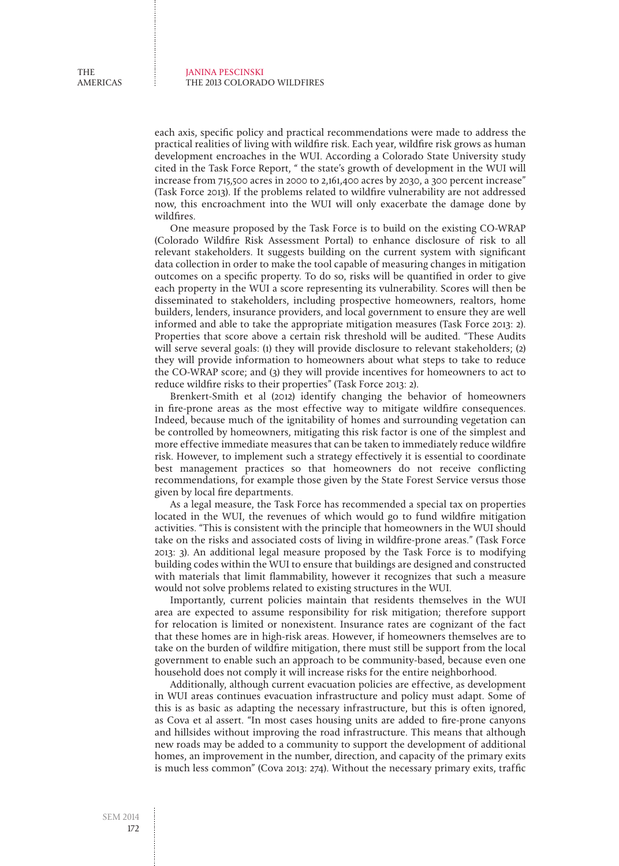each axis, specific policy and practical recommendations were made to address the practical realities of living with wildfire risk. Each year, wildfire risk grows as human development encroaches in the WUI. According a Colorado State University study cited in the Task Force Report, " the state's growth of development in the WUI will increase from 715,500 acres in 2000 to 2,161,400 acres by 2030, a 300 percent increase" (Task Force 2013). If the problems related to wildfire vulnerability are not addressed now, this encroachment into the WUI will only exacerbate the damage done by wildfires.

One measure proposed by the Task Force is to build on the existing CO-WRAP (Colorado Wildfire Risk Assessment Portal) to enhance disclosure of risk to all relevant stakeholders. It suggests building on the current system with significant data collection in order to make the tool capable of measuring changes in mitigation outcomes on a specific property. To do so, risks will be quantified in order to give each property in the WUI a score representing its vulnerability. Scores will then be disseminated to stakeholders, including prospective homeowners, realtors, home builders, lenders, insurance providers, and local government to ensure they are well informed and able to take the appropriate mitigation measures (Task Force 2013: 2). Properties that score above a certain risk threshold will be audited. "These Audits will serve several goals: (1) they will provide disclosure to relevant stakeholders; (2) they will provide information to homeowners about what steps to take to reduce the CO-WRAP score; and (3) they will provide incentives for homeowners to act to reduce wildfire risks to their properties" (Task Force 2013: 2).

Brenkert-Smith et al (2012) identify changing the behavior of homeowners in fire-prone areas as the most effective way to mitigate wildfire consequences. Indeed, because much of the ignitability of homes and surrounding vegetation can be controlled by homeowners, mitigating this risk factor is one of the simplest and more effective immediate measures that can be taken to immediately reduce wildfire risk. However, to implement such a strategy effectively it is essential to coordinate best management practices so that homeowners do not receive conflicting recommendations, for example those given by the State Forest Service versus those given by local fire departments.

As a legal measure, the Task Force has recommended a special tax on properties located in the WUI, the revenues of which would go to fund wildfire mitigation activities. "This is consistent with the principle that homeowners in the WUI should take on the risks and associated costs of living in wildfire-prone areas." (Task Force 2013: 3). An additional legal measure proposed by the Task Force is to modifying building codes within the WUI to ensure that buildings are designed and constructed with materials that limit flammability, however it recognizes that such a measure would not solve problems related to existing structures in the WUI.

Importantly, current policies maintain that residents themselves in the WUI area are expected to assume responsibility for risk mitigation; therefore support for relocation is limited or nonexistent. Insurance rates are cognizant of the fact that these homes are in high-risk areas. However, if homeowners themselves are to take on the burden of wildfire mitigation, there must still be support from the local government to enable such an approach to be community-based, because even one household does not comply it will increase risks for the entire neighborhood.

Additionally, although current evacuation policies are effective, as development in WUI areas continues evacuation infrastructure and policy must adapt. Some of this is as basic as adapting the necessary infrastructure, but this is often ignored, as Cova et al assert. "In most cases housing units are added to fire-prone canyons and hillsides without improving the road infrastructure. This means that although new roads may be added to a community to support the development of additional homes, an improvement in the number, direction, and capacity of the primary exits is much less common" (Cova 2013: 274). Without the necessary primary exits, traffic